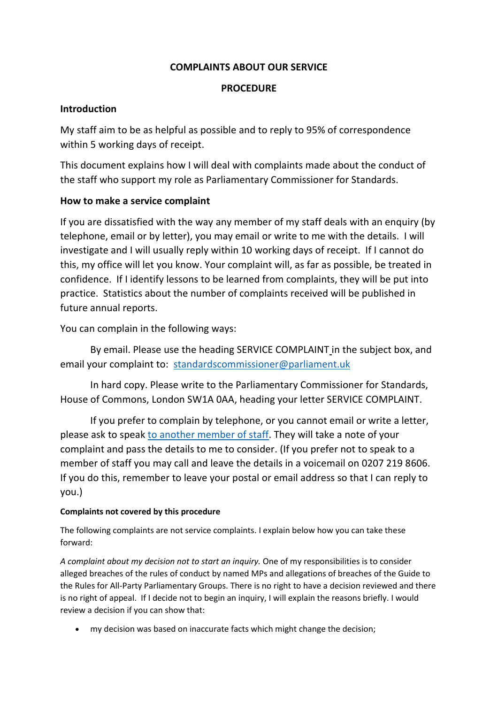## **COMPLAINTS ABOUT OUR SERVICE**

# **PROCEDURE**

## **Introduction**

My staff aim to be as helpful as possible and to reply to 95% of correspondence within 5 working days of receipt.

This document explains how I will deal with complaints made about the conduct of the staff who support my role as Parliamentary Commissioner for Standards.

## **How to make a service complaint**

If you are dissatisfied with the way any member of my staff deals with an enquiry (by telephone, email or by letter), you may email or write to me with the details. I will investigate and I will usually reply within 10 working days of receipt. If I cannot do this, my office will let you know. Your complaint will, as far as possible, be treated in confidence. If I identify lessons to be learned from complaints, they will be put into practice. Statistics about the number of complaints received will be published in future annual reports.

You can complain in the following ways:

By email. Please use the heading SERVICE COMPLAINT in the subject box, and email your complaint to: [standardscommissioner@parliament.uk](mailto:standardscommissioner@parliament.uk)

In hard copy. Please write to the Parliamentary Commissioner for Standards, House of Commons, London SW1A 0AA, heading your letter SERVICE COMPLAINT.

If you prefer to complain by telephone, or you cannot email or write a letter, please ask to speak [to another member of staff.](http://www.parliament.uk/mps-lords-and-offices/standards-and-financial-interests/parliamentary-commissioner-for-standards/parliamentary-commissioner-for-standards/contact-us/) They will take a note of your complaint and pass the details to me to consider. (If you prefer not to speak to a member of staff you may call and leave the details in a voicemail on 0207 219 8606. If you do this, remember to leave your postal or email address so that I can reply to you.)

### **Complaints not covered by this procedure**

The following complaints are not service complaints. I explain below how you can take these forward:

*A complaint about my decision not to start an inquiry.* One of my responsibilities is to consider alleged breaches of the rules of conduct by named MPs and allegations of breaches of the Guide to the Rules for All-Party Parliamentary Groups. There is no right to have a decision reviewed and there is no right of appeal. If I decide not to begin an inquiry, I will explain the reasons briefly. I would review a decision if you can show that:

my decision was based on inaccurate facts which might change the decision;